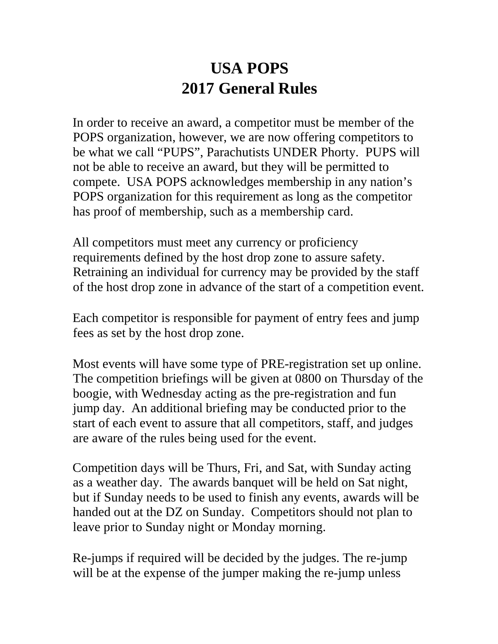## **USA POPS 2017 General Rules**

In order to receive an award, a competitor must be member of the POPS organization, however, we are now offering competitors to be what we call "PUPS", Parachutists UNDER Phorty. PUPS will not be able to receive an award, but they will be permitted to compete. USA POPS acknowledges membership in any nation's POPS organization for this requirement as long as the competitor has proof of membership, such as a membership card.

All competitors must meet any currency or proficiency requirements defined by the host drop zone to assure safety. Retraining an individual for currency may be provided by the staff of the host drop zone in advance of the start of a competition event.

Each competitor is responsible for payment of entry fees and jump fees as set by the host drop zone.

Most events will have some type of PRE-registration set up online. The competition briefings will be given at 0800 on Thursday of the boogie, with Wednesday acting as the pre-registration and fun jump day. An additional briefing may be conducted prior to the start of each event to assure that all competitors, staff, and judges are aware of the rules being used for the event.

Competition days will be Thurs, Fri, and Sat, with Sunday acting as a weather day. The awards banquet will be held on Sat night, but if Sunday needs to be used to finish any events, awards will be handed out at the DZ on Sunday. Competitors should not plan to leave prior to Sunday night or Monday morning.

Re-jumps if required will be decided by the judges. The re-jump will be at the expense of the jumper making the re-jump unless